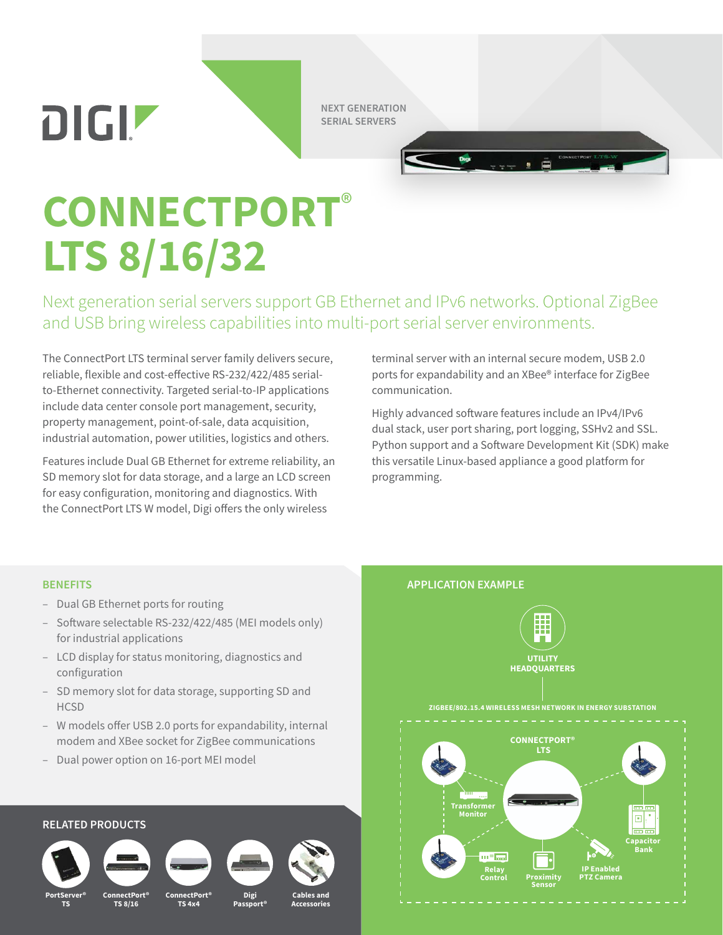DIGIZ

**NEXT GENERATION SERIAL SERVERS**

## **CONNECTPORT**® **LTS 8/16/32**

Next generation serial servers support GB Ethernet and IPv6 networks. Optional ZigBee and USB bring wireless capabilities into multi-port serial server environments.

The ConnectPort LTS terminal server family delivers secure, reliable, flexible and cost-effective RS-232/422/485 serialto-Ethernet connectivity. Targeted serial-to-IP applications include data center console port management, security, property management, point-of-sale, data acquisition, industrial automation, power utilities, logistics and others.

Features include Dual GB Ethernet for extreme reliability, an SD memory slot for data storage, and a large an LCD screen for easy configuration, monitoring and diagnostics. With the ConnectPort LTS W model, Digi offers the only wireless

terminal server with an internal secure modem, USB 2.0 ports for expandability and an XBee® interface for ZigBee communication.

Highly advanced software features include an IPv4/IPv6 dual stack, user port sharing, port logging, SSHv2 and SSL. Python support and a Software Development Kit (SDK) make this versatile Linux-based appliance a good platform for programming.

- Dual GB Ethernet ports for routing
- Software selectable RS-232/422/485 (MEI models only) for industrial applications
- LCD display for status monitoring, diagnostics and configuration
- SD memory slot for data storage, supporting SD and **HCSD**
- W models offer USB 2.0 ports for expandability, internal modem and XBee socket for ZigBee communications
- Dual power option on 16-port MEI model

## **RELATED PRODUCTS**





**TS 8/16**



**TS 4x4**



Passp



**Accessories**



**PortServer® TS**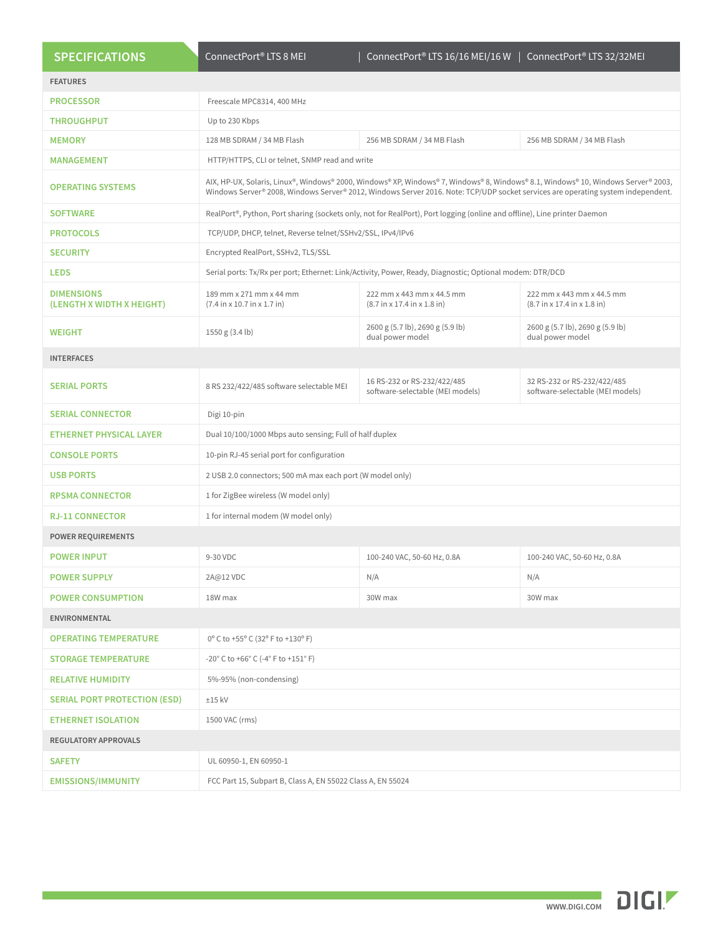| <b>SPECIFICATIONS</b>                          | ConnectPort <sup>®</sup> LTS 8 MEI                                                                                                                                                                                                                                    | ConnectPort® LTS 16/16 MEI/16 W                                 | ConnectPort® LTS 32/32MEI                                       |
|------------------------------------------------|-----------------------------------------------------------------------------------------------------------------------------------------------------------------------------------------------------------------------------------------------------------------------|-----------------------------------------------------------------|-----------------------------------------------------------------|
| <b>FEATURES</b>                                |                                                                                                                                                                                                                                                                       |                                                                 |                                                                 |
| <b>PROCESSOR</b>                               | Freescale MPC8314, 400 MHz                                                                                                                                                                                                                                            |                                                                 |                                                                 |
| <b>THROUGHPUT</b>                              | Up to 230 Kbps                                                                                                                                                                                                                                                        |                                                                 |                                                                 |
| <b>MEMORY</b>                                  | 128 MB SDRAM / 34 MB Flash                                                                                                                                                                                                                                            | 256 MB SDRAM / 34 MB Flash                                      | 256 MB SDRAM / 34 MB Flash                                      |
| <b>MANAGEMENT</b>                              | HTTP/HTTPS, CLI or telnet, SNMP read and write                                                                                                                                                                                                                        |                                                                 |                                                                 |
| <b>OPERATING SYSTEMS</b>                       | AIX, HP-UX, Solaris, Linux®, Windows® 2000, Windows® XP, Windows® 7, Windows® 8, Windows® 8.1, Windows® 10, Windows Server® 2003,<br>Windows Server® 2008, Windows Server® 2012, Windows Server 2016. Note: TCP/UDP socket services are operating system independent. |                                                                 |                                                                 |
| <b>SOFTWARE</b>                                | RealPort®, Python, Port sharing (sockets only, not for RealPort), Port logging (online and offline), Line printer Daemon                                                                                                                                              |                                                                 |                                                                 |
| <b>PROTOCOLS</b>                               | TCP/UDP, DHCP, telnet, Reverse telnet/SSHv2/SSL, IPv4/IPv6                                                                                                                                                                                                            |                                                                 |                                                                 |
| <b>SECURITY</b>                                | Encrypted RealPort, SSHv2, TLS/SSL                                                                                                                                                                                                                                    |                                                                 |                                                                 |
| <b>LEDS</b>                                    | Serial ports: Tx/Rx per port; Ethernet: Link/Activity, Power, Ready, Diagnostic; Optional modem: DTR/DCD                                                                                                                                                              |                                                                 |                                                                 |
| <b>DIMENSIONS</b><br>(LENGTH X WIDTH X HEIGHT) | 189 mm x 271 mm x 44 mm<br>(7.4 in x 10.7 in x 1.7 in)                                                                                                                                                                                                                | 222 mm x 443 mm x 44.5 mm<br>(8.7 in x 17.4 in x 1.8 in)        | 222 mm x 443 mm x 44.5 mm<br>(8.7 in x 17.4 in x 1.8 in)        |
| <b>WEIGHT</b>                                  | 1550 g (3.4 lb)                                                                                                                                                                                                                                                       | 2600 g (5.7 lb), 2690 g (5.9 lb)<br>dual power model            | 2600 g (5.7 lb), 2690 g (5.9 lb)<br>dual power model            |
| <b>INTERFACES</b>                              |                                                                                                                                                                                                                                                                       |                                                                 |                                                                 |
| <b>SERIAL PORTS</b>                            | 8 RS 232/422/485 software selectable MEI                                                                                                                                                                                                                              | 16 RS-232 or RS-232/422/485<br>software-selectable (MEI models) | 32 RS-232 or RS-232/422/485<br>software-selectable (MEI models) |
| <b>SERIAL CONNECTOR</b>                        | Digi 10-pin                                                                                                                                                                                                                                                           |                                                                 |                                                                 |
| <b>ETHERNET PHYSICAL LAYER</b>                 | Dual 10/100/1000 Mbps auto sensing; Full of half duplex                                                                                                                                                                                                               |                                                                 |                                                                 |
| <b>CONSOLE PORTS</b>                           | 10-pin RJ-45 serial port for configuration                                                                                                                                                                                                                            |                                                                 |                                                                 |
| <b>USB PORTS</b>                               | 2 USB 2.0 connectors; 500 mA max each port (W model only)                                                                                                                                                                                                             |                                                                 |                                                                 |
| <b>RPSMA CONNECTOR</b>                         | 1 for ZigBee wireless (W model only)                                                                                                                                                                                                                                  |                                                                 |                                                                 |
| <b>RJ-11 CONNECTOR</b>                         | 1 for internal modem (W model only)                                                                                                                                                                                                                                   |                                                                 |                                                                 |
| <b>POWER REQUIREMENTS</b>                      |                                                                                                                                                                                                                                                                       |                                                                 |                                                                 |
| <b>POWER INPUT</b>                             | 9-30 VDC                                                                                                                                                                                                                                                              | 100-240 VAC, 50-60 Hz, 0.8A                                     | 100-240 VAC, 50-60 Hz, 0.8A                                     |
| <b>POWER SUPPLY</b>                            | 2A@12 VDC                                                                                                                                                                                                                                                             | N/A                                                             | N/A                                                             |
| <b>POWER CONSUMPTION</b>                       | 18W max                                                                                                                                                                                                                                                               | 30W max                                                         | 30W max                                                         |
| <b>ENVIRONMENTAL</b>                           |                                                                                                                                                                                                                                                                       |                                                                 |                                                                 |
| <b>OPERATING TEMPERATURE</b>                   | 0° C to +55° C (32° F to +130° F)                                                                                                                                                                                                                                     |                                                                 |                                                                 |
| <b>STORAGE TEMPERATURE</b>                     | $-20^{\circ}$ C to $+66^{\circ}$ C ( $-4^{\circ}$ F to $+151^{\circ}$ F)                                                                                                                                                                                              |                                                                 |                                                                 |
| <b>RELATIVE HUMIDITY</b>                       | 5%-95% (non-condensing)                                                                                                                                                                                                                                               |                                                                 |                                                                 |
| <b>SERIAL PORT PROTECTION (ESD)</b>            | $±15$ kV                                                                                                                                                                                                                                                              |                                                                 |                                                                 |
| <b>ETHERNET ISOLATION</b>                      | 1500 VAC (rms)                                                                                                                                                                                                                                                        |                                                                 |                                                                 |
| <b>REGULATORY APPROVALS</b>                    |                                                                                                                                                                                                                                                                       |                                                                 |                                                                 |
| <b>SAFETY</b>                                  | UL 60950-1, EN 60950-1                                                                                                                                                                                                                                                |                                                                 |                                                                 |
| <b>EMISSIONS/IMMUNITY</b>                      | FCC Part 15, Subpart B, Class A, EN 55022 Class A, EN 55024                                                                                                                                                                                                           |                                                                 |                                                                 |